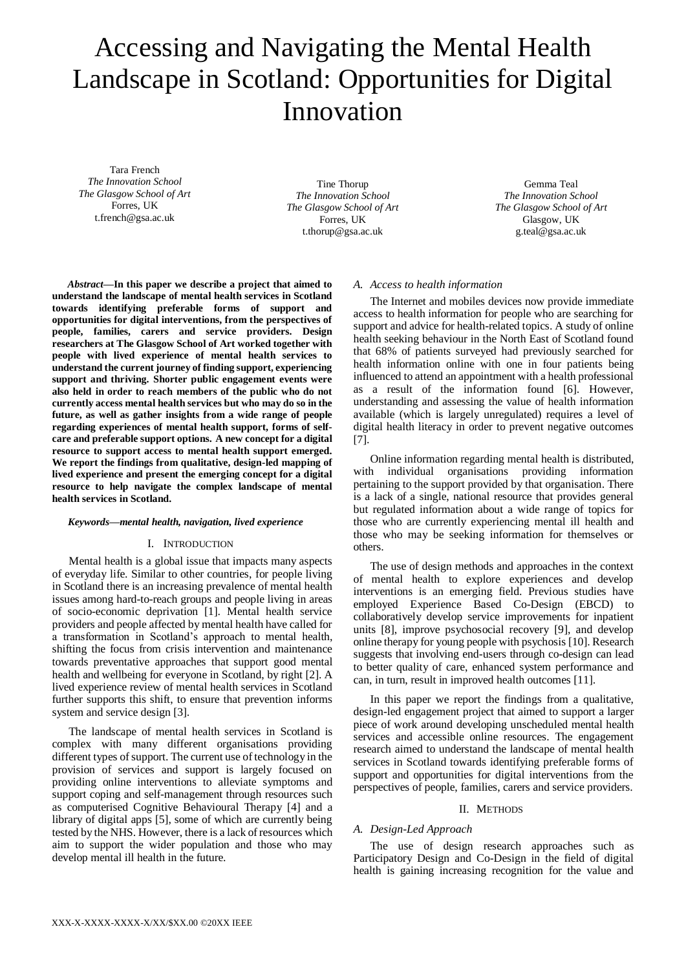# Accessing and Navigating the Mental Health Landscape in Scotland: Opportunities for Digital Innovation

Tara French *The Innovation School The Glasgow School of Art* Forres, UK t.french@gsa.ac.uk

Tine Thorup *The Innovation School The Glasgow School of Art* Forres, UK t.thorup@gsa.ac.uk

Gemma Teal *The Innovation School The Glasgow School of Art* Glasgow, UK g.teal@gsa.ac.uk

*Abstract***—In this paper we describe a project that aimed to understand the landscape of mental health services in Scotland towards identifying preferable forms of support and opportunities for digital interventions, from the perspectives of people, families, carers and service providers. Design researchers at The Glasgow School of Art worked together with people with lived experience of mental health services to understand the current journey of finding support, experiencing support and thriving. Shorter public engagement events were also held in order to reach members of the public who do not currently access mental health services but who may do so in the future, as well as gather insights from a wide range of people regarding experiences of mental health support, forms of selfcare and preferable support options. A new concept for a digital resource to support access to mental health support emerged. We report the findings from qualitative, design-led mapping of lived experience and present the emerging concept for a digital resource to help navigate the complex landscape of mental health services in Scotland.** 

### *Keywords—mental health, navigation, lived experience*

#### I. INTRODUCTION

Mental health is a global issue that impacts many aspects of everyday life. Similar to other countries, for people living in Scotland there is an increasing prevalence of mental health issues among hard-to-reach groups and people living in areas of socio-economic deprivation [1]. Mental health service providers and people affected by mental health have called for a transformation in Scotland's approach to mental health, shifting the focus from crisis intervention and maintenance towards preventative approaches that support good mental health and wellbeing for everyone in Scotland, by right [2]. A lived experience review of mental health services in Scotland further supports this shift, to ensure that prevention informs system and service design [3].

The landscape of mental health services in Scotland is complex with many different organisations providing different types of support. The current use of technology in the provision of services and support is largely focused on providing online interventions to alleviate symptoms and support coping and self-management through resources such as computerised Cognitive Behavioural Therapy [4] and a library of digital apps [5], some of which are currently being tested by the NHS. However, there is a lack of resources which aim to support the wider population and those who may develop mental ill health in the future.

## *A. Access to health information*

The Internet and mobiles devices now provide immediate access to health information for people who are searching for support and advice for health-related topics. A study of online health seeking behaviour in the North East of Scotland found that 68% of patients surveyed had previously searched for health information online with one in four patients being influenced to attend an appointment with a health professional as a result of the information found [6]. However, understanding and assessing the value of health information available (which is largely unregulated) requires a level of digital health literacy in order to prevent negative outcomes [7].

Online information regarding mental health is distributed, with individual organisations providing information pertaining to the support provided by that organisation. There is a lack of a single, national resource that provides general but regulated information about a wide range of topics for those who are currently experiencing mental ill health and those who may be seeking information for themselves or others.

The use of design methods and approaches in the context of mental health to explore experiences and develop interventions is an emerging field. Previous studies have employed Experience Based Co-Design (EBCD) to collaboratively develop service improvements for inpatient units [8], improve psychosocial recovery [9], and develop online therapy for young people with psychosis [10]. Research suggests that involving end-users through co-design can lead to better quality of care, enhanced system performance and can, in turn, result in improved health outcomes [11].

In this paper we report the findings from a qualitative, design-led engagement project that aimed to support a larger piece of work around developing unscheduled mental health services and accessible online resources. The engagement research aimed to understand the landscape of mental health services in Scotland towards identifying preferable forms of support and opportunities for digital interventions from the perspectives of people, families, carers and service providers.

#### II. METHODS

#### *A. Design-Led Approach*

The use of design research approaches such as Participatory Design and Co-Design in the field of digital health is gaining increasing recognition for the value and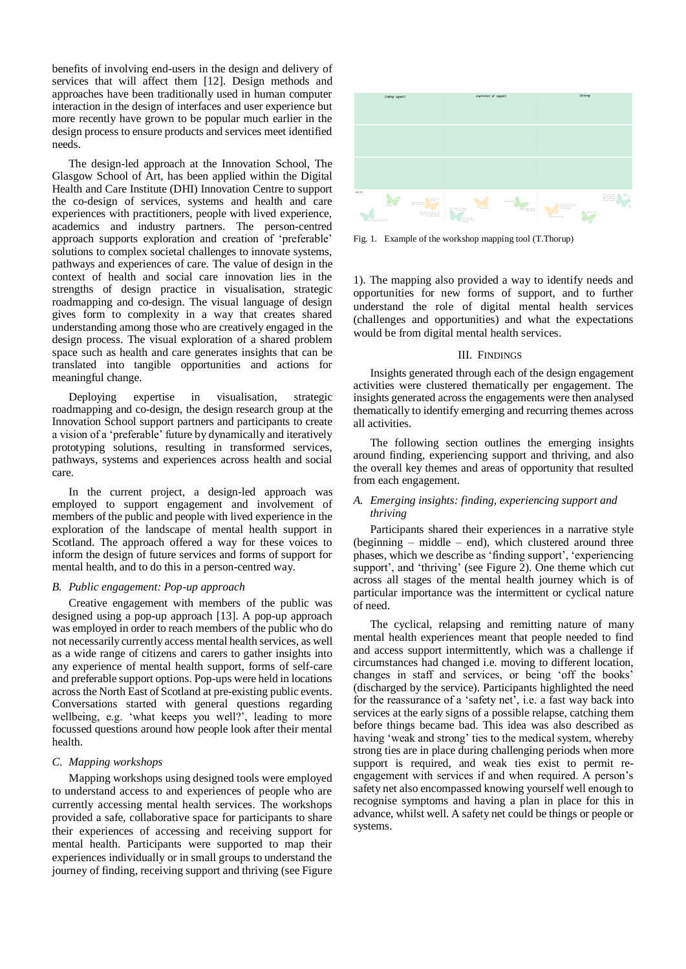benefits of involving end-users in the design and delivery of services that will affect them [12]. Design methods and approaches have been traditionally used in human computer interaction in the design of interfaces and user experience but more recently have grown to be popular much earlier in the design process to ensure products and services meet identified needs.

The design-led approach at the Innovation School, The Glasgow School of Art, has been applied within the Digital Health and Care Institute (DHI) Innovation Centre to support the co-design of services, systems and health and care experiences with practitioners, people with lived experience, academics and industry partners. The person-centred approach supports exploration and creation of 'preferable' solutions to complex societal challenges to innovate systems, pathways and experiences of care. The value of design in the context of health and social care innovation lies in the strengths of design practice in visualisation, strategic roadmapping and co-design. The visual language of design gives form to complexity in a way that creates shared understanding among those who are creatively engaged in the design process. The visual exploration of a shared problem space such as health and care generates insights that can be translated into tangible opportunities and actions for meaningful change.

Deploying expertise in visualisation, strategic roadmapping and co-design, the design research group at the Innovation School support partners and participants to create a vision of a 'preferable' future by dynamically and iteratively prototyping solutions, resulting in transformed services, pathways, systems and experiences across health and social care.

In the current project, a design-led approach was employed to support engagement and involvement of members of the public and people with lived experience in the exploration of the landscape of mental health support in Scotland. The approach offered a way for these voices to inform the design of future services and forms of support for mental health, and to do this in a person-centred way.

## *B. Public engagement: Pop-up approach*

Creative engagement with members of the public was designed using a pop-up approach [13]. A pop-up approach was employed in order to reach members of the public who do not necessarily currently access mental health services, as well as a wide range of citizens and carers to gather insights into any experience of mental health support, forms of self-care and preferable support options. Pop-ups were held in locations across the North East of Scotland at pre-existing public events. Conversations started with general questions regarding wellbeing, e.g. 'what keeps you well?', leading to more focussed questions around how people look after their mental health.

# *C. Mapping workshops*

Mapping workshops using designed tools were employed to understand access to and experiences of people who are currently accessing mental health services. The workshops provided a safe, collaborative space for participants to share their experiences of accessing and receiving support for mental health. Participants were supported to map their experiences individually or in small groups to understand the journey of finding, receiving support and thriving (see Figure



Fig. 1. Example of the workshop mapping tool (T.Thorup)

1). The mapping also provided a way to identify needs and opportunities for new forms of support, and to further understand the role of digital mental health services (challenges and opportunities) and what the expectations would be from digital mental health services.

## III. FINDINGS

Insights generated through each of the design engagement activities were clustered thematically per engagement. The insights generated across the engagements were then analysed thematically to identify emerging and recurring themes across all activities.

The following section outlines the emerging insights around finding, experiencing support and thriving, and also the overall key themes and areas of opportunity that resulted from each engagement.

# *A. Emerging insights: finding, experiencing support and thriving*

Participants shared their experiences in a narrative style (beginning – middle – end), which clustered around three phases, which we describe as 'finding support', 'experiencing support', and 'thriving' (see Figure 2). One theme which cut across all stages of the mental health journey which is of particular importance was the intermittent or cyclical nature of need.

The cyclical, relapsing and remitting nature of many mental health experiences meant that people needed to find and access support intermittently, which was a challenge if circumstances had changed i.e. moving to different location, changes in staff and services, or being 'off the books' (discharged by the service). Participants highlighted the need for the reassurance of a 'safety net', i.e. a fast way back into services at the early signs of a possible relapse, catching them before things became bad. This idea was also described as having 'weak and strong' ties to the medical system, whereby strong ties are in place during challenging periods when more support is required, and weak ties exist to permit reengagement with services if and when required. A person's safety net also encompassed knowing yourself well enough to recognise symptoms and having a plan in place for this in advance, whilst well. A safety net could be things or people or systems.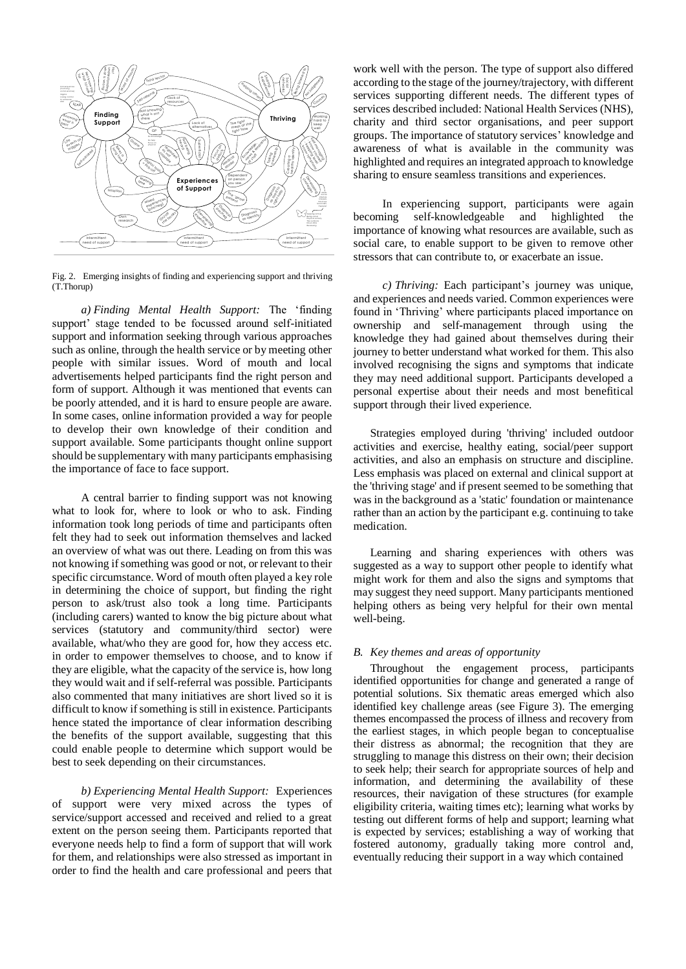

Fig. 2. Emerging insights of finding and experiencing support and thriving (T.Thorup)

*a) Finding Mental Health Support:* The 'finding support' stage tended to be focussed around self-initiated support and information seeking through various approaches such as online, through the health service or by meeting other people with similar issues. Word of mouth and local advertisements helped participants find the right person and form of support. Although it was mentioned that events can be poorly attended, and it is hard to ensure people are aware. In some cases, online information provided a way for people to develop their own knowledge of their condition and support available. Some participants thought online support should be supplementary with many participants emphasising the importance of face to face support.

A central barrier to finding support was not knowing what to look for, where to look or who to ask. Finding information took long periods of time and participants often felt they had to seek out information themselves and lacked an overview of what was out there. Leading on from this was not knowing if something was good or not, or relevant to their specific circumstance. Word of mouth often played a key role in determining the choice of support, but finding the right person to ask/trust also took a long time. Participants (including carers) wanted to know the big picture about what services (statutory and community/third sector) were available, what/who they are good for, how they access etc. in order to empower themselves to choose, and to know if they are eligible, what the capacity of the service is, how long they would wait and if self-referral was possible. Participants also commented that many initiatives are short lived so it is difficult to know if something is still in existence. Participants hence stated the importance of clear information describing the benefits of the support available, suggesting that this could enable people to determine which support would be best to seek depending on their circumstances.

*b) Experiencing Mental Health Support:* Experiences of support were very mixed across the types of service/support accessed and received and relied to a great extent on the person seeing them. Participants reported that everyone needs help to find a form of support that will work for them, and relationships were also stressed as important in order to find the health and care professional and peers that

work well with the person. The type of support also differed according to the stage of the journey/trajectory, with different services supporting different needs. The different types of services described included: National Health Services (NHS), charity and third sector organisations, and peer support groups. The importance of statutory services' knowledge and awareness of what is available in the community was highlighted and requires an integrated approach to knowledge sharing to ensure seamless transitions and experiences.

In experiencing support, participants were again becoming self-knowledgeable and highlighted the importance of knowing what resources are available, such as social care, to enable support to be given to remove other stressors that can contribute to, or exacerbate an issue.

*c) Thriving:* Each participant's journey was unique, and experiences and needs varied. Common experiences were found in 'Thriving' where participants placed importance on ownership and self-management through using the knowledge they had gained about themselves during their journey to better understand what worked for them. This also involved recognising the signs and symptoms that indicate they may need additional support. Participants developed a personal expertise about their needs and most benefitical support through their lived experience.

Strategies employed during 'thriving' included outdoor activities and exercise, healthy eating, social/peer support activities, and also an emphasis on structure and discipline. Less emphasis was placed on external and clinical support at the 'thriving stage' and if present seemed to be something that was in the background as a 'static' foundation or maintenance rather than an action by the participant e.g. continuing to take medication.

Learning and sharing experiences with others was suggested as a way to support other people to identify what might work for them and also the signs and symptoms that may suggest they need support. Many participants mentioned helping others as being very helpful for their own mental well-being.

# *B. Key themes and areas of opportunity*

Throughout the engagement process, participants identified opportunities for change and generated a range of potential solutions. Six thematic areas emerged which also identified key challenge areas (see Figure 3). The emerging themes encompassed the process of illness and recovery from the earliest stages, in which people began to conceptualise their distress as abnormal; the recognition that they are struggling to manage this distress on their own; their decision to seek help; their search for appropriate sources of help and information, and determining the availability of these resources, their navigation of these structures (for example eligibility criteria, waiting times etc); learning what works by testing out different forms of help and support; learning what is expected by services; establishing a way of working that fostered autonomy, gradually taking more control and, eventually reducing their support in a way which contained